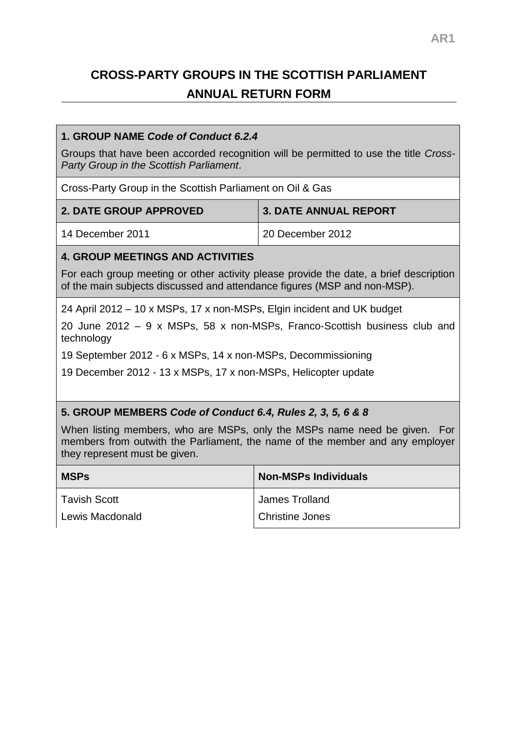# **CROSS-PARTY GROUPS IN THE SCOTTISH PARLIAMENT ANNUAL RETURN FORM**

#### **1. GROUP NAME** *Code of Conduct 6.2.4*

Groups that have been accorded recognition will be permitted to use the title *Cross-Party Group in the Scottish Parliament*.

Cross-Party Group in the Scottish Parliament on Oil & Gas

| <b>2. DATE GROUP APPROVED</b> | <b>3. DATE ANNUAL REPORT</b> |
|-------------------------------|------------------------------|
| 14 December 2011              | 20 December 2012             |

## **4. GROUP MEETINGS AND ACTIVITIES**

For each group meeting or other activity please provide the date, a brief description of the main subjects discussed and attendance figures (MSP and non-MSP).

24 April 2012 – 10 x MSPs, 17 x non-MSPs, Elgin incident and UK budget

20 June 2012 – 9 x MSPs, 58 x non-MSPs, Franco-Scottish business club and technology

19 September 2012 - 6 x MSPs, 14 x non-MSPs, Decommissioning

19 December 2012 - 13 x MSPs, 17 x non-MSPs, Helicopter update

## **5. GROUP MEMBERS** *Code of Conduct 6.4, Rules 2, 3, 5, 6 & 8*

When listing members, who are MSPs, only the MSPs name need be given. For members from outwith the Parliament, the name of the member and any employer they represent must be given.

| <b>MSPs</b>         | <b>Non-MSPs Individuals</b> |
|---------------------|-----------------------------|
| <b>Tavish Scott</b> | James Trolland              |
| Lewis Macdonald     | <b>Christine Jones</b>      |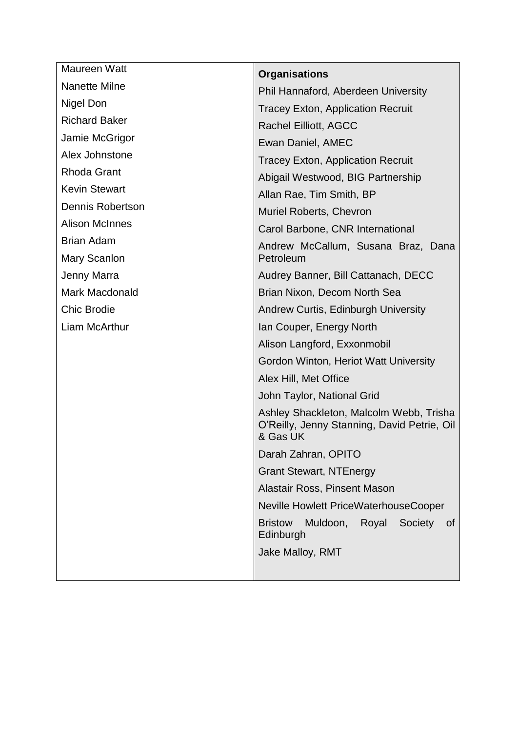| Maureen Watt          | <b>Organisations</b>                                                                               |
|-----------------------|----------------------------------------------------------------------------------------------------|
| Nanette Milne         | Phil Hannaford, Aberdeen University                                                                |
| Nigel Don             | <b>Tracey Exton, Application Recruit</b>                                                           |
| <b>Richard Baker</b>  | Rachel Eilliott, AGCC                                                                              |
| Jamie McGrigor        | Ewan Daniel, AMEC                                                                                  |
| Alex Johnstone        | <b>Tracey Exton, Application Recruit</b>                                                           |
| <b>Rhoda Grant</b>    | Abigail Westwood, BIG Partnership                                                                  |
| <b>Kevin Stewart</b>  | Allan Rae, Tim Smith, BP                                                                           |
| Dennis Robertson      | Muriel Roberts, Chevron                                                                            |
| <b>Alison McInnes</b> | Carol Barbone, CNR International                                                                   |
| <b>Brian Adam</b>     | Andrew McCallum, Susana Braz, Dana                                                                 |
| Mary Scanlon          | Petroleum                                                                                          |
| Jenny Marra           | Audrey Banner, Bill Cattanach, DECC                                                                |
| <b>Mark Macdonald</b> | Brian Nixon, Decom North Sea                                                                       |
| <b>Chic Brodie</b>    | Andrew Curtis, Edinburgh University                                                                |
| Liam McArthur         | Ian Couper, Energy North                                                                           |
|                       | Alison Langford, Exxonmobil                                                                        |
|                       | Gordon Winton, Heriot Watt University                                                              |
|                       | Alex Hill, Met Office                                                                              |
|                       | John Taylor, National Grid                                                                         |
|                       | Ashley Shackleton, Malcolm Webb, Trisha<br>O'Reilly, Jenny Stanning, David Petrie, Oil<br>& Gas UK |
|                       | Darah Zahran, OPITO                                                                                |
|                       | <b>Grant Stewart, NTEnergy</b>                                                                     |
|                       | Alastair Ross, Pinsent Mason                                                                       |
|                       | Neville Howlett PriceWaterhouseCooper                                                              |
|                       | Muldoon, Royal<br><b>Bristow</b><br>Society<br>of<br>Edinburgh                                     |
|                       | Jake Malloy, RMT                                                                                   |
|                       |                                                                                                    |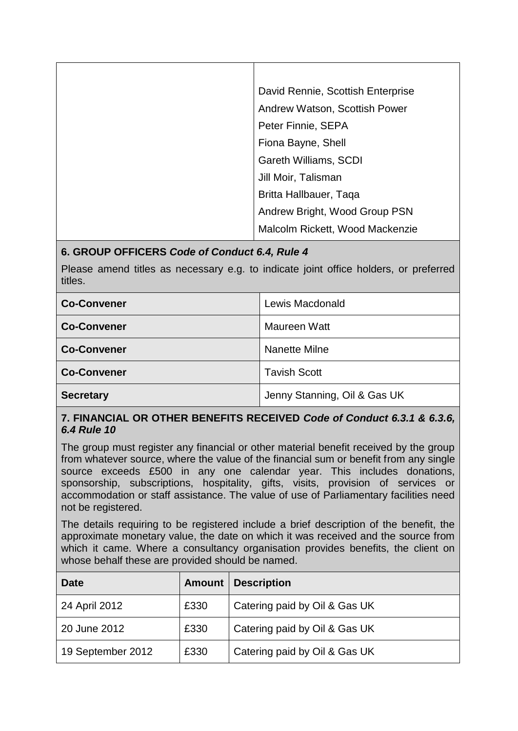| David Rennie, Scottish Enterprise |
|-----------------------------------|
| Andrew Watson, Scottish Power     |
| Peter Finnie, SEPA                |
| Fiona Bayne, Shell                |
| Gareth Williams, SCDI             |
| Jill Moir, Talisman               |
| Britta Hallbauer, Taqa            |
| Andrew Bright, Wood Group PSN     |
| Malcolm Rickett, Wood Mackenzie   |

## **6. GROUP OFFICERS** *Code of Conduct 6.4, Rule 4*

Please amend titles as necessary e.g. to indicate joint office holders, or preferred titles.

| <b>Co-Convener</b> | Lewis Macdonald              |
|--------------------|------------------------------|
| <b>Co-Convener</b> | Maureen Watt                 |
| <b>Co-Convener</b> | Nanette Milne                |
| <b>Co-Convener</b> | <b>Tavish Scott</b>          |
| <b>Secretary</b>   | Jenny Stanning, Oil & Gas UK |

#### **7. FINANCIAL OR OTHER BENEFITS RECEIVED** *Code of Conduct 6.3.1 & 6.3.6, 6.4 Rule 10*

The group must register any financial or other material benefit received by the group from whatever source, where the value of the financial sum or benefit from any single source exceeds £500 in any one calendar year. This includes donations, sponsorship, subscriptions, hospitality, gifts, visits, provision of services or accommodation or staff assistance. The value of use of Parliamentary facilities need not be registered.

The details requiring to be registered include a brief description of the benefit, the approximate monetary value, the date on which it was received and the source from which it came. Where a consultancy organisation provides benefits, the client on whose behalf these are provided should be named.

| <b>Date</b>       | <b>Amount</b> | <b>Description</b>            |
|-------------------|---------------|-------------------------------|
| 24 April 2012     | £330          | Catering paid by Oil & Gas UK |
| 20 June 2012      | £330          | Catering paid by Oil & Gas UK |
| 19 September 2012 | £330          | Catering paid by Oil & Gas UK |